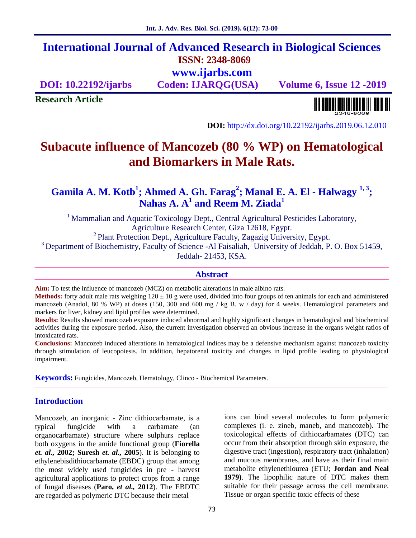## **International Journal of Advanced Research in Biological Sciences ISSN: 2348-8069 www.ijarbs.com**

**DOI: 10.22192/ijarbs Coden: IJARQG(USA) Volume 6, Issue 12 -2019**

**Research Article**

<u> Alban kalendari bahas pendadi pada sebagai pengangkan pendadi pendadi pendadi pendadi pengangkan pengangkan </u>

**DOI:** http://dx.doi.org/10.22192/ijarbs.2019.06.12.010

# **Subacute influence of Mancozeb (80 % WP) on Hematological and Biomarkers in Male Rats.**

**Gamila A. M. Kotb<sup>1</sup>; Ahmed A. Gh. Farag<sup>2</sup>; Manal E. A. El - Halwagy 1, <sup>3</sup>; Nahas A. A<sup>1</sup> and Reem M. Ziada 1**

<sup>1</sup> Mammalian and Aquatic Toxicology Dept., Central Agricultural Pesticides Laboratory, Agriculture Research Center, Giza 12618, Egypt. <sup>2</sup> Plant Protection Dept., Agriculture Faculty, Zagazig University, Egypt.  $3$  Department of Biochemistry, Faculty of Science -Al Faisaliah, University of Jeddah, P. O. Box 51459, Jeddah- 21453, KSA.

#### **Abstract**

**Aim:** To test the influence of mancozeb (MCZ) on metabolic alterations in male albino rats.

**Methods:** forty adult male rats weighing  $120 \pm 10$  g were used, divided into four groups of ten animals for each and administered mancozeb (Anadol, 80 % WP) at doses (150, 300 and 600 mg / kg B. w / day) for 4 weeks. Hematological parameters and markers for liver, kidney and lipid profiles were determined.

**Results:** Results showed mancozeb exposure induced abnormal and highly significant changes in hematological and biochemical activities during the exposure period. Also, the current investigation observed an obvious increase in the organs weight ratios of intoxicated rats.

**Conclusions:** Mancozeb induced alterations in hematological indices may be a defensive mechanism against mancozeb toxicity through stimulation of leucopoiesis. In addition, hepatorenal toxicity and changes in lipid profile leading to physiological impairment.

**Keywords:** Fungicides, Mancozeb, Hematology, Clinco - Biochemical Parameters.

### **Introduction**

Mancozeb, an inorganic - Zinc dithiocarbamate, is a typical fungicide with a carbamate (an organocarbamate) structure where sulphurs replace both oxygens in the amide functional group (**Fiorella** *et. al.,* **2002; Suresh** *et. al.,* **2005**). It is belonging to ethylenebisdithiocarbamate (EBDC) group that among the most widely used fungicides in pre - harvest agricultural applications to protect crops from a range of fungal diseases (**Paro,** *et al.,* **2012**). The EBDTC are regarded as polymeric DTC because their metal

ions can bind several molecules to form polymeric complexes (i. e. zineb, maneb, and mancozeb). The toxicological effects of dithiocarbamates (DTC) can occur from their absorption through skin exposure, the digestive tract (ingestion), respiratory tract (inhalation) and mucous membranes, and have as their final main metabolite ethylenethiourea (ETU; **Jordan and Neal 1979)**. The lipophilic nature of DTC makes them suitable for their passage across the cell membrane. Tissue or organ specific toxic effects of these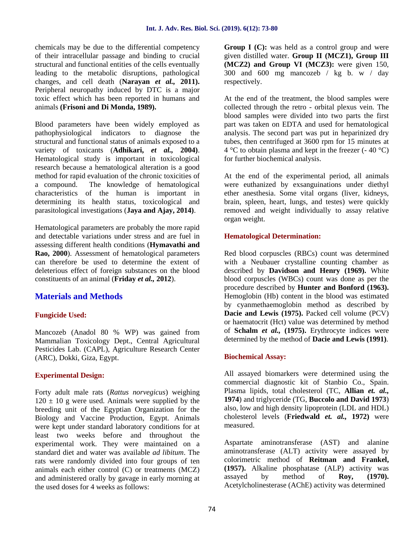chemicals may be due to the differential competency of their intracellular passage and binding to crucial structural and functional entities of the cells eventually leading to the metabolic disruptions, pathological changes, and cell death (**Narayan** *et al.,* **2011).** Peripheral neuropathy induced by DTC is a major toxic effect which has been reported in humans and animals **(Frisoni and Di Monda, 1989).**

Blood parameters have been widely employed as pathophysiological indicators to diagnose the structural and functional status of animals exposed to a variety of toxicants (**Adhikari,** *et al.,* **2004)**. Hematological study is important in toxicological research because a hematological alteration is a good method for rapid evaluation of the chronic toxicities of a compound. The knowledge of hematological characteristics of the human is important in determining its health status, toxicological and parasitological investigations (**Jaya and Ajay, 2014)**.

Hematological parameters are probably the more rapid and detectable variations under stress and are fuel in assessing different health conditions (**Hymavathi and Rao, 2000**). Assessment of hematological parameters can therefore be used to determine the extent of deleterious effect of foreign substances on the blood constituents of an animal (**Friday** *et al.,* **2012**).

## **Materials and Methods**

#### **Fungicide Used:**

Mancozeb (Anadol 80 % WP) was gained from Mammalian Toxicology Dept., Central Agricultural Pesticides Lab. (CAPL), Agriculture Research Center (ARC), Dokki, Giza, Egypt.

#### **Experimental Design:**

Forty adult male rats (*Rattus norvegicus*) weighing  $120 \pm 10$  g were used. Animals were supplied by the breeding unit of the Egyptian Organization for the Biology and Vaccine Production, Egypt. Animals were kept under standard laboratory conditions for at least two weeks before and throughout the experimental work. They were maintained on a standard diet and water was available *ad libitum*. The rats were randomly divided into four groups of ten animals each either control (C) or treatments (MCZ) and administered orally by gavage in early morning at the used doses for 4 weeks as follows:

**Group I (C):** was held as a control group and were given distilled water. **Group II (MCZ1), Group III (MCZ2) and Group VI (MCZ3):** were given 150, 300 and 600 mg mancozeb / kg b. w / day respectively.

At the end of the treatment, the blood samples were collected through the retro - orbital plexus vein. The blood samples were divided into two parts the first part was taken on EDTA and used for hematological analysis. The second part was put in heparinized dry tubes, then centrifuged at 3600 rpm for 15 minutes at  $4^{\circ}$ C to obtain plasma and kept in the freezer (-40  $^{\circ}$ C) for further biochemical analysis.

At the end of the experimental period, all animals were euthanized by exsanguinations under diethyl ether anesthesia. Some vital organs (liver, kidneys, brain, spleen, heart, lungs, and testes) were quickly removed and weight individually to assay relative organ weight.

#### **Hematological Determination:**

Red blood corpuscles (RBCs) count was determined with a Neubauer crystalline counting chamber as described by **Davidson and Henry (1969).** White blood corpuscles (WBCs) count was done as per the procedure described by **Hunter and Bonford (1963).** Hemoglobin (Hb) content in the blood was estimated by cyanmethaemoglobin method as described by **Dacie and Lewis (1975).** Packed cell volume (PCV) or haematocrit (Hct) value was determined by method of **Schalm** *et al.,* **(1975).** Erythrocyte indices were determined by the method of **Dacie and Lewis (1991)**.

#### **Biochemical Assay:**

All assayed biomarkers were determined using the commercial diagnostic kit of Stanbio Co., Spain. Plasma lipids, total cholesterol (TC, **Allian** *et. al.,* **1974**) and triglyceride (TG, **Buccolo and David 1973**) also, low and high density lipoprotein (LDL and HDL) cholesterol levels (**Friedwald** *et. al.,* **1972)** were measured.

Aspartate aminotransferase (AST) and alanine aminotransferase (ALT) activity were assayed by colorimetric method of **Reitman and Frankel, (1957).** Alkaline phosphatase (ALP) activity was assayed by method of **Roy, (1970).** Acetylcholinesterase (AChE) activity was determined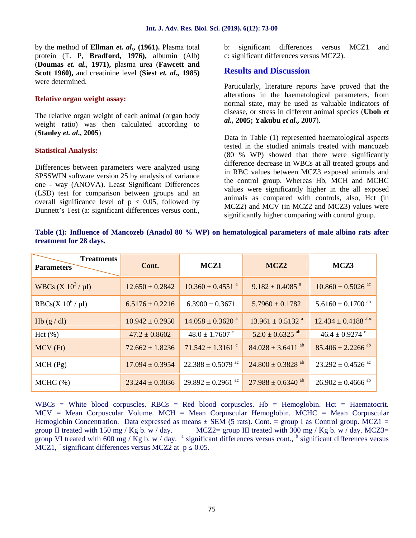by the method of **Ellman** *et. al.,* **(1961).** Plasma total protein (T. P, **Bradford, 1976),** albumin (Alb) (**Doumas** *et. al.,* **1971),** plasma urea (**Fawcett and Scott 1960),** and creatinine level (**Siest** *et. al.,* **1985)** were determined.

#### **Relative organ weight assay:**

The relative organ weight of each animal (organ body weight ratio) was then calculated according to (**Stanley** *et. al***., 2005**)

#### **Statistical Analysis:**

Differences between parameters were analyzed using SPSSWIN software version 25 by analysis of variance one -way (ANOVA). Least Significant Differences (LSD) test for comparison between groups and an overall significance level of p 0.05, followed by Dunnett's Test (a: significant differences versus cont., b: significant differences versus MCZ1 and c: significant differences versus MCZ2).

#### **Results and Discussion**

Particularly, literature reports have proved that the alterations in the haematological parameters, from normal state, may be used as valuable indicators of disease, or stress in different animal species (**Uboh** *et al.,* **2005; Yakubu** *et al.,* **2007**).

Data in Table (1) represented haematological aspects tested in the studied animals treated with mancozeb (80 % WP) showed that there were significantly difference decrease in WBCs at all treated groups and in RBC values between MCZ3 exposed animals and the control group. Whereas Hb, MCH and MCHC values were significantly higher in the all exposed animals as compared with controls, also, Hct (in MCZ2) and MCV (in MCZ2 and MCZ3) values were significantly higher comparing with control group.

**Table (1): Influence of Mancozeb (Anadol 80 % WP) on hematological parameters of male albino rats after treatment for 28 days.**

| <b>Treatments</b><br><b>Parameters</b> | Cont.               | MCZ1                              | MCZ <sub>2</sub>                  | MCZ3                              |
|----------------------------------------|---------------------|-----------------------------------|-----------------------------------|-----------------------------------|
| WBCs $(X 10^3 / \mu l)$                | $12.650 \pm 0.2842$ | $10.360 \pm 0.4551$ <sup>a</sup>  | $9.182 \pm 0.4085$ <sup>a</sup>   | $10.860 \pm 0.5026$ ac            |
| RBCs(X $10^6 / \mu l$ )                | $6.5176 \pm 0.2216$ | $6.3900 \pm 0.3671$               | $5.7960 \pm 0.1782$               | $5.6160 \pm 0.1700$ <sup>ab</sup> |
| Hb $(g/dl)$                            | $10.942 \pm 0.2950$ | $14.058 \pm 0.3620$ <sup>a</sup>  | $13.961 \pm 0.5132$ <sup>a</sup>  | $12.434 \pm 0.4188$ abc           |
| Hct (%)                                | $47.2 \pm 0.8602$   | $48.0 \pm 1.7607$ °               | $52.0 \pm 0.6325$ <sup>ab</sup>   | $46.4 \pm 0.9274$ c               |
| MCV (Ft)                               | $72.662 \pm 1.8236$ | $71.542 \pm 1.3161$ <sup>c</sup>  | $84.028 \pm 3.6411$ <sup>ab</sup> | $85.406 \pm 2.2266$ <sup>ab</sup> |
| MCH(Pg)                                | $17.094 \pm 0.3954$ | $22.388 \pm 0.5079$ <sup>ac</sup> | $24.800 \pm 0.3828$ <sup>ab</sup> | $23.292 \pm 0.4526$ <sup>ac</sup> |
| $MCHC$ $(\% )$                         | $23.244 \pm 0.3036$ | $29.892 \pm 0.2961$ <sup>ac</sup> | $27.988 \pm 0.6340$ <sup>ab</sup> | $26.902 \pm 0.4666$ <sup>ab</sup> |

 $WBCs = White blood corpuscles. RBCs = Red blood corpuscles. Hb = Hemoglobin. Het = Haematorit.$ MCV = Mean Corpuscular Volume. MCH = Mean Corpuscular Hemoglobin. MCHC = Mean Corpuscular Hemoglobin Concentration. Data expressed as means  $\pm$  SEM (5 rats). Cont. = group I as Control group. MCZ1 = group II treated with 150 mg / Kg b. w / day. MCZ2= group III treated with  $300$  mg / Kg b. w / day. MCZ3= group VI treated with 600 mg / Kg b. w / day. <sup>a</sup> significant differences versus cont., <sup>b</sup> significant differences versus MCZ1,  $\text{c}$  significant differences versus MCZ2 at p 0.05.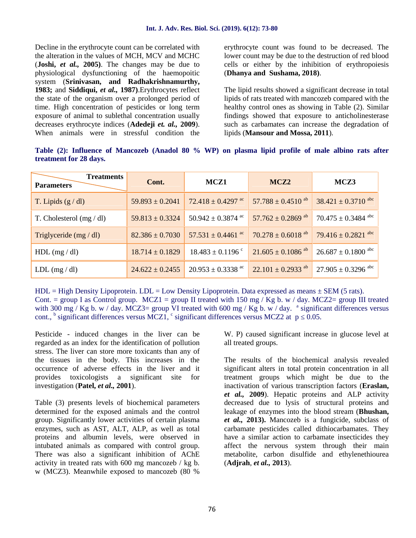Decline in the erythrocyte count can be correlated with the alteration in the values of MCH, MCV and MCHC (**Joshi,** *et al.,* **2005)**. The changes may be due to physiological dysfunctioning of the haemopoitic system (**Srinivasan, and Radhakrishnamurthy, 1983;** and **Siddiqui,** *et al.,* **1987)**.Erythrocytes reflect the state of the organism over a prolonged period of time. High concentration of pesticides or long term exposure of animal to sublethal concentration usually decreases erythrocyte indices (**Adedeji** *et. al.,* **2009**). When animals were in stressful condition the

erythrocyte count was found to be decreased. The lower count may be due to the destruction of red blood cells or either by the inhibition of erythropoiesis (**Dhanya and Sushama, 2018)**.

The lipid results showed a significant decrease in total lipids of rats treated with mancozeb compared with the healthy control ones as showing in Table (2). Similar findings showed that exposure to anticholinesterase such as carbamates can increase the degradation of lipids (**Mansour and Mossa, 2011**).

**Table (2): Influence of Mancozeb (Anadol 80 % WP) on plasma lipid profile of male albino rats after treatment for 28 days.**

| <b>Treatments</b><br><b>Parameters</b> | Cont.               | MCZ1                              | MCZ <sub>2</sub>                  | MCZ3                    |
|----------------------------------------|---------------------|-----------------------------------|-----------------------------------|-------------------------|
| T. Lipids $(g/dl)$                     | $59.893 \pm 0.2041$ | $72.418 \pm 0.4297$ <sup>ac</sup> | 57.788 $\pm$ 0.4510 <sup>ab</sup> | $38.421 \pm 0.3710$ abc |
| T. Cholesterol $(mg/dl)$               | $59.813 \pm 0.3324$ | $50.942 \pm 0.3874$ ac            | $57.762 \pm 0.2869$ <sup>ab</sup> | $70.475 \pm 0.3484$ abc |
| Triglyceride $(mg/dl)$                 | $82.386 \pm 0.7030$ | $57.531 \pm 0.4461$ <sup>ac</sup> | $70.278 \pm 0.6018$ <sup>ab</sup> | 79.416 $\pm$ 0.2821 abc |
| $HDL$ (mg / dl)                        | $18.714 \pm 0.1829$ | $18.483 \pm 0.1196$ <sup>c</sup>  | $21.605 \pm 0.1086$ <sup>ab</sup> | $26.687 \pm 0.1800$ abc |
| LDL (mg/dl)                            | $24.622 \pm 0.2455$ | $20.953 \pm 0.3338$ ac            | $22.101 \pm 0.2933$ ab            | $27.905 \pm 0.3296$ abc |

 $HDL = High Density Lipoprotein.  $LDL = Low Density Lipoprotein.$  Data expressed as means  $\pm$  SEM (5 rats).$ Cont. = group I as Control group. MCZ1 = group II treated with 150 mg / Kg b. w / day. MCZ2= group III treated with 300 mg / Kg b. w / day. MCZ3= group VI treated with 600 mg / Kg b. w / day. <sup>a</sup> significant differences versus cont.,  $\frac{b}{c}$  significant differences versus MCZ1,  $\frac{c}{c}$  significant differences versus MCZ2 at p 0.05.

Pesticide - induced changes in the liver can be regarded as an index for the identification of pollution stress. The liver can store more toxicants than any of the tissues in the body. This increases in the occurrence of adverse effects in the liver and it provides toxicologists a significant site for investigation (**Patel,** *et al.,* **2001**).

Table (3) presents levels of biochemical parameters determined for the exposed animals and the control group. Significantly lower activities of certain plasma enzymes, such as AST, ALT, ALP, as well as total proteins and albumin levels, were observed in intubated animals as compared with control group. There was also a significant inhibition of AChE activity in treated rats with 600 mg mancozeb / kg b. w (MCZ3). Meanwhile exposed to mancozeb (80 %

W. P) caused significant increase in glucose level at all treated groups.

The results of the biochemical analysis revealed significant alters in total protein concentration in all treatment groups which might be due to the inactivation of various transcription factors (**Eraslan,** *et al.,* **2009**). Hepatic proteins and ALP activity decreased due to lysis of structural proteins and leakage of enzymes into the blood stream (**Bhushan,** *et al.,* **2013).** Mancozeb is a fungicide, subclass of carbamate pesticides called dithiocarbamates. They have a similar action to carbamate insecticides they affect the nervous system through their main metabolite, carbon disulfide and ethylenethiourea (**Adjrah**, *et al.,* **2013**).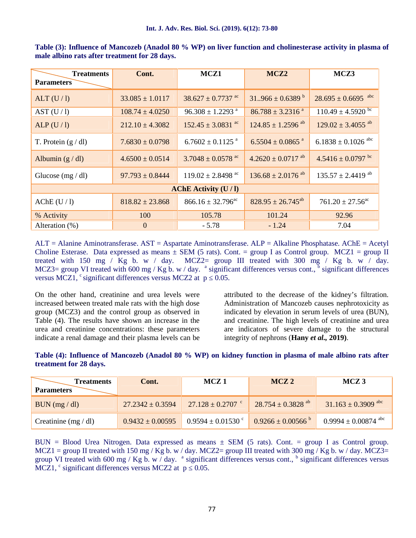| <b>Treatments</b><br><b>Parameters</b> | Cont.               | MCZ1                              | MCZ <sub>2</sub>                  | MCZ3                               |
|----------------------------------------|---------------------|-----------------------------------|-----------------------------------|------------------------------------|
| ALT(U/1)                               | $33.085 \pm 1.0117$ | $38.627 \pm 0.7737$ <sup>ac</sup> | $31966 \pm 0.6389$ <sup>b</sup>   | $28.695 \pm 0.6695$ <sup>abc</sup> |
| AST (U/1)                              | $108.74 \pm 4.0250$ | $96.308 \pm 1.2293$ <sup>a</sup>  | $86.788 \pm 3.2316$ <sup>a</sup>  | $110.49 \pm 4.5920 \text{ pc}$     |
| ALP(U/I)                               | $212.10 \pm 4.3082$ | $152.45 \pm 3.0831$ ac            | $124.85 \pm 1.2596$ <sup>ab</sup> | $129.02 \pm 3.4055$ <sup>ab</sup>  |
| T. Protein $(g/dl)$                    | $7.6830 \pm 0.0798$ | $6.7602 \pm 0.1125$ <sup>a</sup>  | $6.5504 \pm 0.0865$ <sup>a</sup>  | $6.1838 \pm 0.1026$ abc            |
| Albumin $(g/dl)$                       | $4.6500 \pm 0.0514$ | $3.7048 \pm 0.0578$ ac            | $4.2620 \pm 0.0717$ <sup>ab</sup> | $4.5416 \pm 0.0797$ bc             |
| Glucose $(mg/dl)$                      | $97.793 \pm 0.8444$ | $119.02 \pm 2.8498$ <sup>ac</sup> | $136.68 \pm 2.0176$ <sup>ab</sup> | $135.57 \pm 2.4419$ <sup>ab</sup>  |
| AChE Activity $(U/I)$                  |                     |                                   |                                   |                                    |
| $AChE$ (U / l)                         | $818.82 \pm 23.868$ | $866.16 \pm 32.796^{\text{ac}}$   | $828.95 \pm 26.745^{ab}$          | $761.20 \pm 27.56^{\text{ac}}$     |
| % Activity                             | 100                 | 105.78                            | 101.24                            | 92.96                              |
| Alteration (%)                         | $\mathbf{0}$        | $-5.78$                           | $-1.24$                           | 7.04                               |

**Table (3): Influence of Mancozeb (Anadol 80 % WP) on liver function and cholinesterase activity in plasma of male albino rats after treatment for 28 days.**

 $ALT =$  Alanine Aminotransferase.  $AST =$  Aspartate Aminotransferase.  $ALP =$  Alkaline Phosphatase.  $AChE =$  Acetyl Choline Esterase. Data expressed as means  $\pm$  SEM (5 rats). Cont. = group I as Control group. MCZ1 = group II treated with 150 mg / Kg b. w / day.  $MCZ=$  group III treated with 300 mg / Kg b. w / day. MCZ3= group VI treated with 600 mg / Kg b. w / day. <sup>a</sup> significant differences versus cont., <sup>b</sup> significant differences versus MCZ1,  $\textdegree$  significant differences versus MCZ2 at p 0.05.

On the other hand, creatinine and urea levels were increased between treated male rats with the high dose group (MCZ3) and the control group as observed in Table (4). The results have shown an increase in the urea and creatinine concentrations: these parameters indicate a renal damage and their plasma levels can be attributed to the decrease of the kidney's filtration. Administration of Mancozeb causes nephrotoxicity as indicated by elevation in serum levels of urea (BUN), and creatinine. The high levels of creatinine and urea are indicators of severe damage to the structural integrity of nephrons (**Hany** *et al.,* **2019)**.

**Table (4): Influence of Mancozeb (Anadol 80 % WP) on kidney function in plasma of male albino rats after treatment for 28 days.**

| <b>Treatments</b><br><b>Parameters</b> | Cont.                | MCZ <sub>1</sub>       | MCZ <sub>2</sub>                  | MCZ <sub>3</sub>         |
|----------------------------------------|----------------------|------------------------|-----------------------------------|--------------------------|
| BUN (mg/dl)                            | $27.2342 \pm 0.3594$ | $27.128 \pm 0.2707$ c  | $28.754 \pm 0.3828$ <sup>ab</sup> | $31.163 \pm 0.3909$ abc  |
| Creatinine $(mg/dl)$                   | $0.9432 \pm 0.00595$ | $0.9594 \pm 0.01530$ c | $0.9266 \pm 0.00566$              | $0.9994 \pm 0.00874$ abc |

BUN = Blood Urea Nitrogen. Data expressed as means  $\pm$  SEM (5 rats). Cont. = group I as Control group. MCZ1 = group II treated with 150 mg / Kg b. w / day. MCZ2= group III treated with 300 mg / Kg b. w / day. MCZ3= group VI treated with 600 mg / Kg b. w / day. <sup>a</sup> significant differences versus cont., <sup>b</sup> significant differences versus MCZ1,  $\text{c}$  significant differences versus MCZ2 at p 0.05.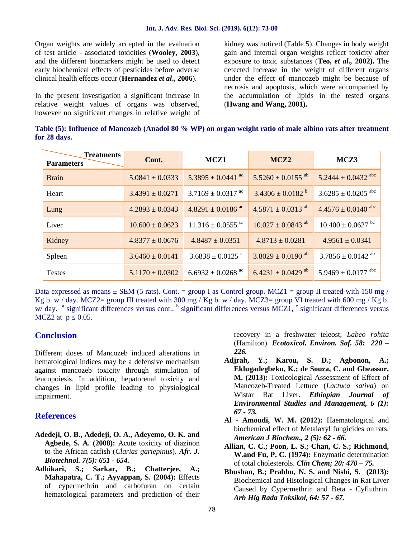Organ weights are widely accepted in the evaluation of test article -associated toxicities (**Wooley, 2003**), and the different biomarkers might be used to detect early biochemical effects of pesticides before adverse clinical health effects occur (**Hernandez** *et al***., 2006**).

In the present investigation a significant increase in relative weight values of organs was observed, however no significant changes in relative weight of

kidney was noticed (Table 5). Changes in body weight gain and internal organ weights reflect toxicity after exposure to toxic substances (**Teo,** *et al.,* **2002).** The detected increase in the weight of different organs under the effect of mancozeb might be because of necrosis and apoptosis, which were accompanied by the accumulation of lipids in the tested organs (**Hwang and Wang, 2001).**

**Table (5): Influence of Mancozeb (Anadol 80 % WP) on organ weight ratio of male albino rats after treatment for 28 days.**

| <b>Treatments</b><br><b>Parameters</b> | Cont.               | MCZ1                              | MCZ <sub>2</sub>                  | MCZ3                              |
|----------------------------------------|---------------------|-----------------------------------|-----------------------------------|-----------------------------------|
| <b>Brain</b>                           | $5.0841 \pm 0.0333$ | $5.3895 \pm 0.0441$ <sup>ac</sup> | $5.5260 \pm 0.0155$ <sup>ab</sup> | 5.2444 $\pm$ 0.0432 abc           |
| Heart                                  | $3.4391 \pm 0.0271$ | $3.7169 \pm 0.0317$ <sup>ac</sup> | $3.4306 \pm 0.0182$ <sup>b</sup>  | $3.6285 \pm 0.0205$ abc           |
| Lung                                   | $4.2893 \pm 0.0343$ | $4.8291 \pm 0.0186$ ac            | $4.5871 \pm 0.0313$ <sup>ab</sup> | $4.4576 \pm 0.0140$ abc           |
| Liver                                  | $10.600 \pm 0.0623$ | $11.316 \pm 0.0555$ <sup>ac</sup> | $10.027 \pm 0.0843$ <sup>ab</sup> | $10.400 \pm 0.0627$ bc            |
| Kidney                                 | $4.8377 \pm 0.0676$ | $4.8487 \pm 0.0351$               | $4.8713 \pm 0.0281$               | $4.9561 \pm 0.0341$               |
| Spleen                                 | $3.6460 \pm 0.0141$ | $3.6838 \pm 0.0125$ <sup>c</sup>  | $3.8029 \pm 0.0190$ <sup>ab</sup> | $3.7856 \pm 0.0142$ <sup>ab</sup> |
| <b>Testes</b>                          | $5.1170 \pm 0.0302$ | $6.6932 \pm 0.0268$ <sup>ac</sup> | $6.4231 \pm 0.0429$ <sup>ab</sup> | 5.9469 $\pm$ 0.0177 abc           |

Data expressed as means  $\pm$  SEM (5 rats). Cont. = group I as Control group. MCZ1 = group II treated with 150 mg / Kg b. w / day. MCZ2= group III treated with 300 mg / Kg b. w / day. MCZ3= group VI treated with 600 mg / Kg b. w/ day. <sup>a</sup> significant differences versus cont., <sup>b</sup> significant differences versus MCZ1, <sup>c</sup> significant differences versus  $MCZ2$  at p 0.05.

#### **Conclusion**

Different doses of Mancozeb induced alterations in hematological indices may be a defensive mechanism against mancozeb toxicity through stimulation of leucopoiesis. In addition, hepatorenal toxicity and changes in lipid profile leading to physiological impairment.

#### **References**

- **Adedeji, O. B., Adedeji, O. A., Adeyemo, O. K. and Agbede, S. A. (2008):** Acute toxicity of diazinon to the African catfish (*Clarias gariepinus*). *Afr. J. Biotechnol. 7(5): 651 - 654.*
- **Adhikari, S.; Sarkar, B.; Chatterjee, A.; Mahapatra, C. T.; Ayyappan, S. (2004):** Effects of cypermethrin and carbofuran on certain hematological parameters and prediction of their

recovery in a freshwater teleost, *Labeo rohita* (Hamilton). *Ecotoxicol. Environ. Saf. 58: 220 – 226.*

- **Adjrah, Y.; Karou, S. D.; Agbonon, A.; Eklugadegbeku, K.; de Souza, C. and Gbeassor, M. (2013):** Toxicological Assessment of Effect of Mancozeb-Treated Lettuce (*Lactuca sativa*) on Wistar Rat Liver. *Ethiopian Journal of Environmental Studies and Management, 6 (1): 67 - 73.*
- **Al - Amoudi, W. M. (2012):** Haematological and biochemical effect of Metalaxyl fungicides on rats. *American J Biochem., 2 (5): 62 - 66.*
- **Allian, C. C.; Poon, L. S.; Chan, C. S.; Richmond, W.and Fu, P. C. (1974):** Enzymatic determination of total cholesterols. *Clin Chem; 20: 470 – 75.*
- **Bhushan, B.; Prabhu, N. S. and Nishi, S. (2013):** Biochemical and Histological Changes in Rat Liver Caused by Cypermethrin and Beta - Cyfluthrin. *Arh Hig Rada Toksikol, 64: 57 - 67.*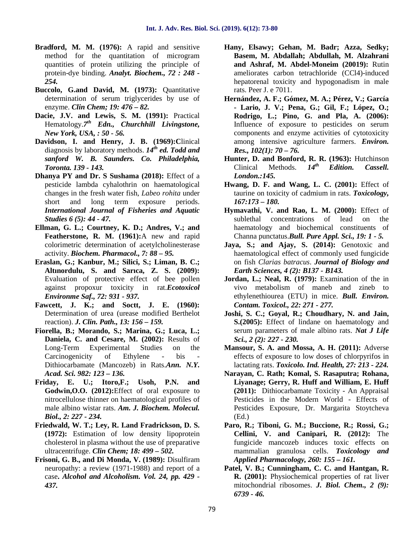- **Bradford, M. M. (1976):** A rapid and sensitive method for the quantitation of microgram quantities of protein utilizing the principle of protein-dye binding. *Analyt. Biochem., 72 : 248 - 254.*
- **Buccolo, G.and David, M. (1973):** Quantitative determination of serum triglycerides by use of enzyme. *Clin Chem; 19: 476 – 82.*
- **Dacie, J.V. and Lewis, S. M. (1991):** Practical Hematology.*7 th Edn., Churchhill Livingstone, New York, USA, : 50 - 56.*
- **Davidson, I. and Henry, J. B. (1969):C**linical diagnosis by laboratory methods. *14th ed. Todd and sanford W. B. Saunders. Co. Philadelphia, Toronta. 139 - 143.*
- **Dhanya PY and Dr. S Sushama (2018):** Effect of a pesticide lambda cyhalothrin on haematological changes in the fresh water fish, *Labeo rohita* under short and long term exposure periods. *International Journal of Fisheries and Aquatic Studies 6 (5): 44 - 47.*
- **Ellman, G. L.; Courtney, K. D.; Andres, V.; and Featherstone, R. M. (1961):**A new and rapid colorimetric determination of acetylcholinesterase activity. *Biochem. Pharmacol., 7: 88 – 95.*
- **Eraslan, G.; Kanbur, M.; Silici, S.; Liman, B. C.; Altınordulu, S. and Sarıca, Z. S. (2009):** Evaluation of protective effect of bee pollen against propoxur toxicity in rat.*Ecotoxicol Environme Saf., 72: 931 - 937.*
- **Fawcett, J. K.; and Soctt, J. E. (1960):** Determination of urea (urease modified Berthelot reaction). *J. Clin. Path., 13: 156 – 159.*
- **Fiorella, B.; Morando, S.; Marina, G.; Luca, L.; Daniela, C. and Cesare, M. (2002):** Results of Long-Term Experimental Studies on the Carcinogenicity of Ethylene - bis - Dithiocarbamate (Mancozeb) in Rats.*Ann. N.Y. Acad. Sci. 982: 123 – 136.*
- **Friday, E. U.; Itoro,F.; Usoh, P.N. and Godwin,O.O. (2012):**Effect of oral exposure to nitrocellulose thinner on haematological profiles of male albino wistar rats. *Am. J. Biochem. Molecul. Biol., 2: 227 - 234.*
- **Friedwald, W. T.; Ley, R. I.and Fradrickson, D. S. (1972):** Estimation of low density lipoprotein cholesterol in plasma without the use of preparative ultracentrifuge. *Clin Chem; 18: 499 – 502.*
- **Frisoni, G. B., and Di Monda, V. (1989):** Disulfiram neuropathy: a review (1971-1988) and report of a case**.** *Alcohol and Alcoholism. Vol. 24, pp. 429 - 437.*
- **Hany, Elsawy; Gehan, M. Badr; Azza, Sedky; Basem, M. Abdallah; Abdullah, M. Alzahrani and Ashraf, M. Abdel-Moneim (20019):** Rutin ameliorates carbon tetrachloride (CCl4)-induced hepatorenal toxicity and hypogonadism in male rats. Peer J. e 7011.
- **Hernández, A. F.; Gómez, M. A.; Pérez, V.; García - Lario, J. V.; Pena, G.; Gil, F.; López, O.; Rodrigo, L.; Pino, G. and Pla, A. (2006):** Influence of exposure to pesticides on serum components and enzyme activities of cytotoxicity among intensive agriculture farmers. *Environ. Res., 102(1): 70 – 76.*
- **Hunter, D. and Bonford, R. R. (1963):** Hutchinson Clinical Methods. *14th Edition. Cassell. London.:145.*
- **Hwang, D. F. and Wang, L. C. (2001):** Effect of taurine on toxicity of cadmium in rats. *Toxicology, 167:173 – 180.*
- **Hymavathi, V. and Rao, L. M. (2000):** Effect of sublethal concentrations of lead on the haematology and biochemical constituents of Channa punctatus.*Bull. Pure Appl. Sci., 19: 1 - 5.*
- **Jaya, S.; and Ajay, S. (2014):** Genotoxic and haematological effect of commonly used fungicide on fish *Clarias batracus*. *Journal of Biology and Earth Sciences, 4 (2): B137 - B143.*
- **Jordan, L.; Neal, R. (1979):** Examination of the in vivo metabolism of maneb and zineb to ethylenethiourea (ETU) in mice. *Bull. Environ. Contam. Toxicol., 22: 271 - 277.*
- **Joshi, S. C.; Goyal, R.; Choudhary, N. and Jain, S.(2005):** Effect of lindane on haematology and serum parameters of male albino rats. *Nat J Life Sci., 2 (2): 227 - 230.*
- **Mansour, S. A. and Mossa, A. H. (2011):** Adverse effects of exposure to low doses of chlorpyrifos in lactating rats. *Toxicolo. Ind. Health, 27: 213 - 224.*
- **Narayan, C. Rath; Komal, S. Rasaputra; Rohana, Liyanage; Gerry, R. Huff and William, E. Huff (2011):** Dithiocarbamate Toxicity - An Appraisal Pesticides in the Modern World - Effects of Pesticides Exposure, Dr. Margarita Stoytcheva (Ed.)
- **Paro, R.; Tiboni, G. M.; Buccione, R.; Rossi, G.; Cellini, V. and Canipari, R. (2012):** The fungicide mancozeb induces toxic effects on mammalian granulosa cells. *Toxicology and Applied Pharmacology, 260: 155 – 161.*
- **Patel, V. B.; Cunningham, C. C. and Hantgan, R. R. (2001):** Physiochemical properties of rat liver mitochondrial ribosomes. *J. Biol. Chem., 2 (9): 6739 - 46.*